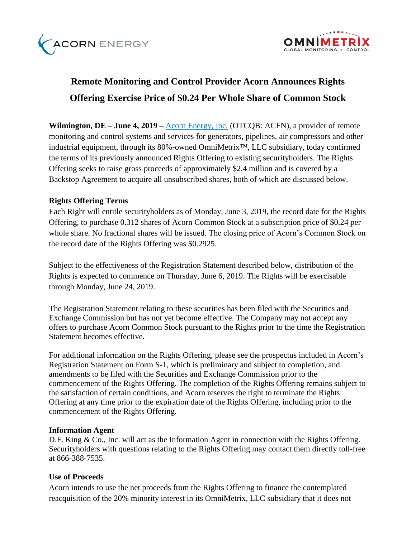



# **Remote Monitoring and Control Provider Acorn Announces Rights Offering Exercise Price of \$0.24 Per Whole Share of Common Stock**

**Wilmington, DE – June 4, 2019 –** [Acorn Energy, Inc.](http://acornenergy.com/) (OTCQB: ACFN), a provider of remote monitoring and control systems and services for generators, pipelines, air compressors and other industrial equipment, through its 80%-owned OmniMetrix™, LLC subsidiary, today confirmed the terms of its previously announced Rights Offering to existing securityholders. The Rights Offering seeks to raise gross proceeds of approximately \$2.4 million and is covered by a Backstop Agreement to acquire all unsubscribed shares, both of which are discussed below.

# **Rights Offering Terms**

Each Right will entitle securityholders as of Monday, June 3, 2019, the record date for the Rights Offering, to purchase 0.312 shares of Acorn Common Stock at a subscription price of \$0.24 per whole share. No fractional shares will be issued. The closing price of Acorn's Common Stock on the record date of the Rights Offering was \$0.2925.

Subject to the effectiveness of the Registration Statement described below, distribution of the Rights is expected to commence on Thursday, June 6, 2019. The Rights will be exercisable through Monday, June 24, 2019.

The Registration Statement relating to these securities has been filed with the Securities and Exchange Commission but has not yet become effective. The Company may not accept any offers to purchase Acorn Common Stock pursuant to the Rights prior to the time the Registration Statement becomes effective.

For additional information on the Rights Offering, please see the prospectus included in Acorn's Registration Statement on Form S-1, which is preliminary and subject to completion, and amendments to be filed with the Securities and Exchange Commission prior to the commencement of the Rights Offering. The completion of the Rights Offering remains subject to the satisfaction of certain conditions, and Acorn reserves the right to terminate the Rights Offering at any time prior to the expiration date of the Rights Offering, including prior to the commencement of the Rights Offering.

### **Information Agent**

D.F. King & Co., Inc. will act as the Information Agent in connection with the Rights Offering. Securityholders with questions relating to the Rights Offering may contact them directly toll-free at 866-388-7535.

### **Use of Proceeds**

Acorn intends to use the net proceeds from the Rights Offering to finance the contemplated reacquisition of the 20% minority interest in its OmniMetrix, LLC subsidiary that it does not